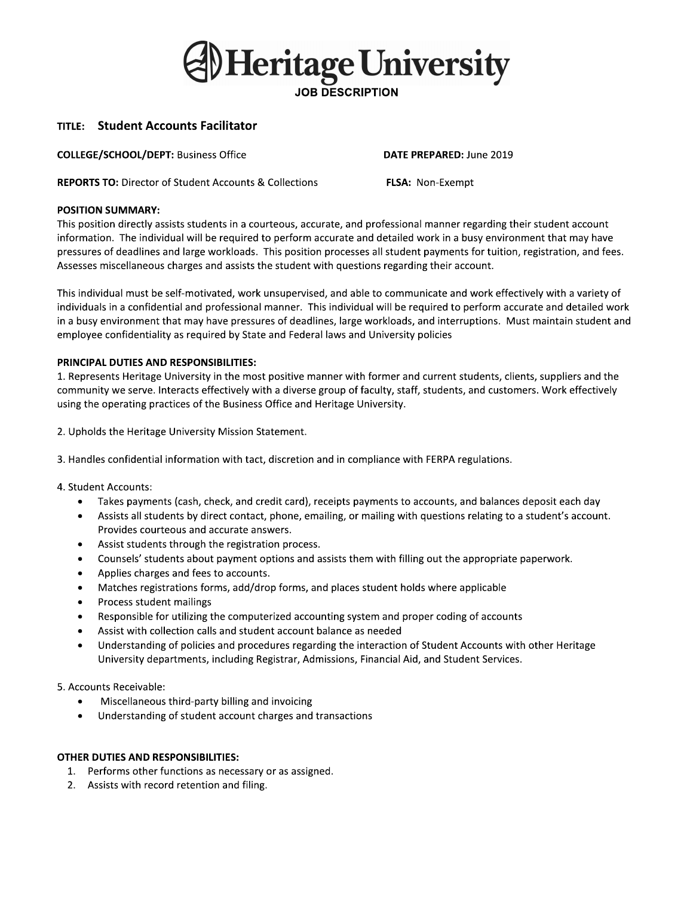# Heritage University

**JOB DESCRIPTION** 

## **TITLE: Student Accounts Facilitator**

**COLLEGE/SCHOOL/DEPT: Business Office** 

**REPORTS TO: Director of Student Accounts & Collections** 

#### DATE PREPARED: June 2019

FLSA: Non-Exempt

### **POSITION SUMMARY:**

This position directly assists students in a courteous, accurate, and professional manner regarding their student account information. The individual will be required to perform accurate and detailed work in a busy environment that may have pressures of deadlines and large workloads. This position processes all student payments for tuition, registration, and fees. Assesses miscellaneous charges and assists the student with questions regarding their account.

This individual must be self-motivated, work unsupervised, and able to communicate and work effectively with a variety of individuals in a confidential and professional manner. This individual will be required to perform accurate and detailed work in a busy environment that may have pressures of deadlines, large workloads, and interruptions. Must maintain student and employee confidentiality as required by State and Federal laws and University policies

### PRINCIPAL DUTIES AND RESPONSIBILITIES:

1. Represents Heritage University in the most positive manner with former and current students, clients, suppliers and the community we serve. Interacts effectively with a diverse group of faculty, staff, students, and customers. Work effectively using the operating practices of the Business Office and Heritage University.

2. Upholds the Heritage University Mission Statement.

3. Handles confidential information with tact, discretion and in compliance with FERPA regulations.

#### 4. Student Accounts:

- Takes payments (cash, check, and credit card), receipts payments to accounts, and balances deposit each day  $\bullet$
- Assists all students by direct contact, phone, emailing, or mailing with questions relating to a student's account.  $\bullet$ Provides courteous and accurate answers.
- Assist students through the registration process.
- $\bullet$ Counsels' students about payment options and assists them with filling out the appropriate paperwork.
- Applies charges and fees to accounts.
- Matches registrations forms, add/drop forms, and places student holds where applicable
- $\bullet$ Process student mailings
- Responsible for utilizing the computerized accounting system and proper coding of accounts  $\bullet$
- Assist with collection calls and student account balance as needed
- Understanding of policies and procedures regarding the interaction of Student Accounts with other Heritage University departments, including Registrar, Admissions, Financial Aid, and Student Services.

5. Accounts Receivable:

- $\bullet$ Miscellaneous third-party billing and invoicing
- Understanding of student account charges and transactions

#### **OTHER DUTIES AND RESPONSIBILITIES:**

- 1. Performs other functions as necessary or as assigned.
- 2. Assists with record retention and filing.